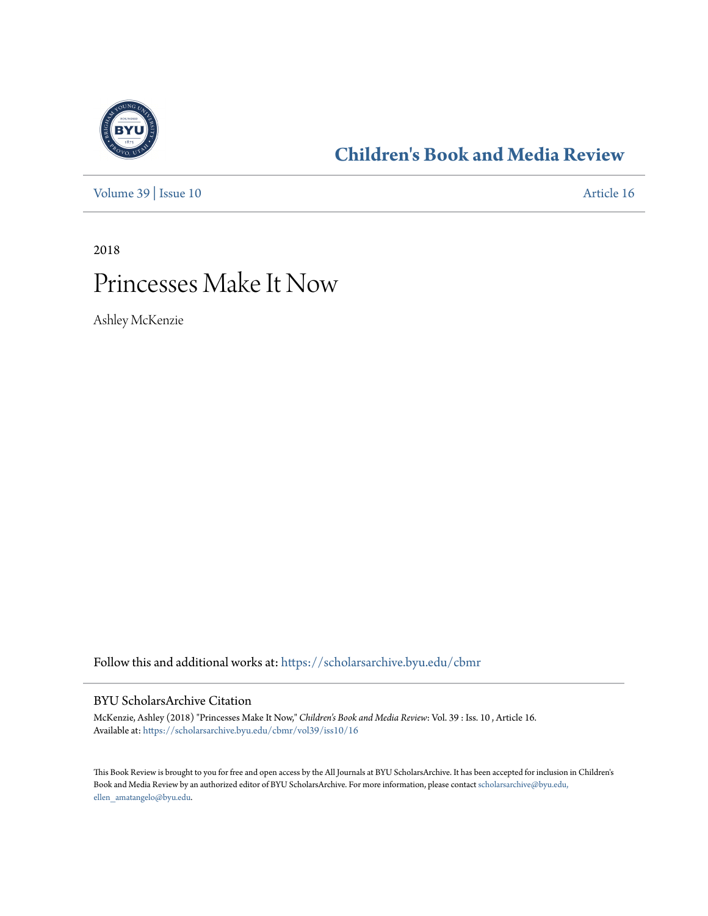

## **[Children's Book and Media Review](https://scholarsarchive.byu.edu/cbmr?utm_source=scholarsarchive.byu.edu%2Fcbmr%2Fvol39%2Fiss10%2F16&utm_medium=PDF&utm_campaign=PDFCoverPages)**

[Volume 39](https://scholarsarchive.byu.edu/cbmr/vol39?utm_source=scholarsarchive.byu.edu%2Fcbmr%2Fvol39%2Fiss10%2F16&utm_medium=PDF&utm_campaign=PDFCoverPages) | [Issue 10](https://scholarsarchive.byu.edu/cbmr/vol39/iss10?utm_source=scholarsarchive.byu.edu%2Fcbmr%2Fvol39%2Fiss10%2F16&utm_medium=PDF&utm_campaign=PDFCoverPages) [Article 16](https://scholarsarchive.byu.edu/cbmr/vol39/iss10/16?utm_source=scholarsarchive.byu.edu%2Fcbmr%2Fvol39%2Fiss10%2F16&utm_medium=PDF&utm_campaign=PDFCoverPages)

2018

# Princesses Make It Now

Ashley McKenzie

Follow this and additional works at: [https://scholarsarchive.byu.edu/cbmr](https://scholarsarchive.byu.edu/cbmr?utm_source=scholarsarchive.byu.edu%2Fcbmr%2Fvol39%2Fiss10%2F16&utm_medium=PDF&utm_campaign=PDFCoverPages)

#### BYU ScholarsArchive Citation

McKenzie, Ashley (2018) "Princesses Make It Now," *Children's Book and Media Review*: Vol. 39 : Iss. 10 , Article 16. Available at: [https://scholarsarchive.byu.edu/cbmr/vol39/iss10/16](https://scholarsarchive.byu.edu/cbmr/vol39/iss10/16?utm_source=scholarsarchive.byu.edu%2Fcbmr%2Fvol39%2Fiss10%2F16&utm_medium=PDF&utm_campaign=PDFCoverPages)

This Book Review is brought to you for free and open access by the All Journals at BYU ScholarsArchive. It has been accepted for inclusion in Children's Book and Media Review by an authorized editor of BYU ScholarsArchive. For more information, please contact [scholarsarchive@byu.edu,](mailto:scholarsarchive@byu.edu,%20ellen_amatangelo@byu.edu) [ellen\\_amatangelo@byu.edu.](mailto:scholarsarchive@byu.edu,%20ellen_amatangelo@byu.edu)